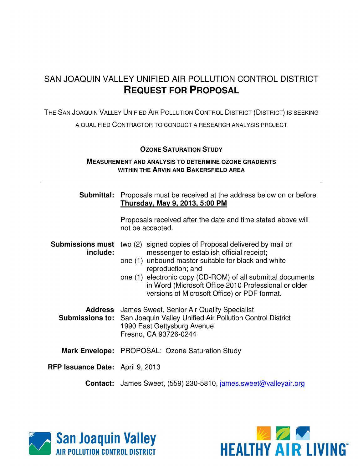# SAN JOAQUIN VALLEY UNIFIED AIR POLLUTION CONTROL DISTRICT **REQUEST FOR PROPOSAL**

THE SAN JOAQUIN VALLEY UNIFIED AIR POLLUTION CONTROL DISTRICT (DISTRICT) IS SEEKING

A QUALIFIED CONTRACTOR TO CONDUCT A RESEARCH ANALYSIS PROJECT

#### **OZONE SATURATION STUDY**

#### **MEASUREMENT AND ANALYSIS TO DETERMINE OZONE GRADIENTS WITHIN THE ARVIN AND BAKERSFIELD AREA**

| Submittal:                              | Proposals must be received at the address below on or before<br>Thursday, May 9, 2013, 5:00 PM                                                                                                                                                                                                                                                        |  |  |  |  |  |
|-----------------------------------------|-------------------------------------------------------------------------------------------------------------------------------------------------------------------------------------------------------------------------------------------------------------------------------------------------------------------------------------------------------|--|--|--|--|--|
|                                         | Proposals received after the date and time stated above will<br>not be accepted.                                                                                                                                                                                                                                                                      |  |  |  |  |  |
| <b>Submissions must</b><br>include:     | two (2) signed copies of Proposal delivered by mail or<br>messenger to establish official receipt;<br>one (1) unbound master suitable for black and white<br>reproduction; and<br>one (1) electronic copy (CD-ROM) of all submittal documents<br>in Word (Microsoft Office 2010 Professional or older<br>versions of Microsoft Office) or PDF format. |  |  |  |  |  |
| <b>Submissions to:</b>                  | <b>Address</b> James Sweet, Senior Air Quality Specialist<br>San Joaquin Valley Unified Air Pollution Control District<br>1990 East Gettysburg Avenue<br>Fresno, CA 93726-0244                                                                                                                                                                        |  |  |  |  |  |
|                                         | <b>Mark Envelope:</b> PROPOSAL: Ozone Saturation Study                                                                                                                                                                                                                                                                                                |  |  |  |  |  |
| <b>RFP Issuance Date:</b> April 9, 2013 |                                                                                                                                                                                                                                                                                                                                                       |  |  |  |  |  |
|                                         | <b>Contact:</b> James Sweet, (559) 230-5810, james.sweet@valleyair.org                                                                                                                                                                                                                                                                                |  |  |  |  |  |



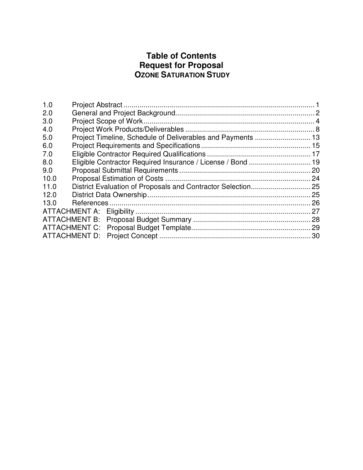# **Table of Contents Request for Proposal OZONE SATURATION STUDY**

| 1.0  |                      |  |
|------|----------------------|--|
| 2.0  |                      |  |
| 3.0  |                      |  |
| 4.0  |                      |  |
| 5.0  |                      |  |
| 6.0  |                      |  |
| 7.0  |                      |  |
| 8.0  |                      |  |
| 9.0  |                      |  |
| 10.0 |                      |  |
| 11.0 |                      |  |
| 12.0 |                      |  |
| 13.0 |                      |  |
|      | ATTACHMENT A:        |  |
|      | ATTACHMENT B:        |  |
|      | ATTACHMENT C:        |  |
|      | <b>ATTACHMENT D:</b> |  |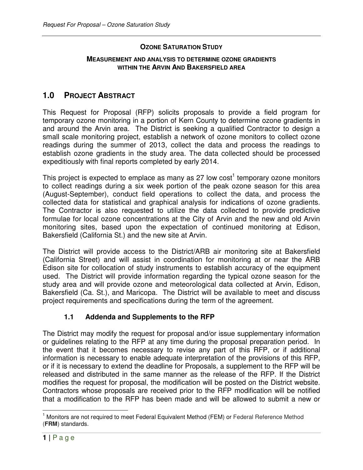#### **OZONE SATURATION STUDY**

#### **MEASUREMENT AND ANALYSIS TO DETERMINE OZONE GRADIENTS WITHIN THE ARVIN AND BAKERSFIELD AREA**

## **1.0 PROJECT ABSTRACT**

This Request for Proposal (RFP) solicits proposals to provide a field program for temporary ozone monitoring in a portion of Kern County to determine ozone gradients in and around the Arvin area. The District is seeking a qualified Contractor to design a small scale monitoring project, establish a network of ozone monitors to collect ozone readings during the summer of 2013, collect the data and process the readings to establish ozone gradients in the study area. The data collected should be processed expeditiously with final reports completed by early 2014.

This project is expected to emplace as many as 27 low cost<sup>1</sup> temporary ozone monitors to collect readings during a six week portion of the peak ozone season for this area (August-September), conduct field operations to collect the data, and process the collected data for statistical and graphical analysis for indications of ozone gradients. The Contractor is also requested to utilize the data collected to provide predictive formulae for local ozone concentrations at the City of Arvin and the new and old Arvin monitoring sites, based upon the expectation of continued monitoring at Edison, Bakersfield (California St.) and the new site at Arvin.

The District will provide access to the District/ARB air monitoring site at Bakersfield (California Street) and will assist in coordination for monitoring at or near the ARB Edison site for collocation of study instruments to establish accuracy of the equipment used. The District will provide information regarding the typical ozone season for the study area and will provide ozone and meteorological data collected at Arvin, Edison, Bakersfield (Ca. St.), and Maricopa. The District will be available to meet and discuss project requirements and specifications during the term of the agreement.

#### **1.1 Addenda and Supplements to the RFP**

The District may modify the request for proposal and/or issue supplementary information or guidelines relating to the RFP at any time during the proposal preparation period. In the event that it becomes necessary to revise any part of this RFP, or if additional information is necessary to enable adequate interpretation of the provisions of this RFP, or if it is necessary to extend the deadline for Proposals, a supplement to the RFP will be released and distributed in the same manner as the release of the RFP. If the District modifies the request for proposal, the modification will be posted on the District website. Contractors whose proposals are received prior to the RFP modification will be notified that a modification to the RFP has been made and will be allowed to submit a new or

 $\overline{1}$ <sup>1</sup> Monitors are not required to meet Federal Equivalent Method (FEM) or Federal Reference Method (**FRM**) standards.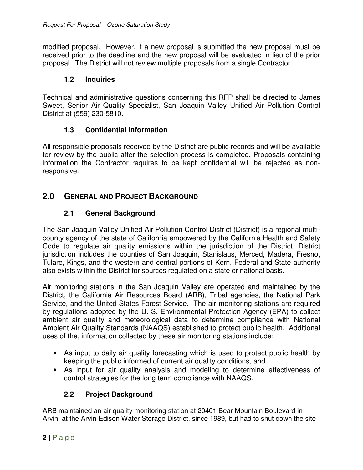modified proposal. However, if a new proposal is submitted the new proposal must be received prior to the deadline and the new proposal will be evaluated in lieu of the prior proposal. The District will not review multiple proposals from a single Contractor.

#### **1.2 Inquiries**

Technical and administrative questions concerning this RFP shall be directed to James Sweet, Senior Air Quality Specialist, San Joaquin Valley Unified Air Pollution Control District at (559) 230-5810.

#### **1.3 Confidential Information**

All responsible proposals received by the District are public records and will be available for review by the public after the selection process is completed. Proposals containing information the Contractor requires to be kept confidential will be rejected as nonresponsive.

## **2.0 GENERAL AND PROJECT BACKGROUND**

### **2.1 General Background**

The San Joaquin Valley Unified Air Pollution Control District (District) is a regional multicounty agency of the state of California empowered by the California Health and Safety Code to regulate air quality emissions within the jurisdiction of the District. District jurisdiction includes the counties of San Joaquin, Stanislaus, Merced, Madera, Fresno, Tulare, Kings, and the western and central portions of Kern. Federal and State authority also exists within the District for sources regulated on a state or national basis.

Air monitoring stations in the San Joaquin Valley are operated and maintained by the District, the California Air Resources Board (ARB), Tribal agencies, the National Park Service, and the United States Forest Service. The air monitoring stations are required by regulations adopted by the U. S. Environmental Protection Agency (EPA) to collect ambient air quality and meteorological data to determine compliance with National Ambient Air Quality Standards (NAAQS) established to protect public health. Additional uses of the, information collected by these air monitoring stations include:

- As input to daily air quality forecasting which is used to protect public health by keeping the public informed of current air quality conditions, and
- As input for air quality analysis and modeling to determine effectiveness of control strategies for the long term compliance with NAAQS.

### **2.2 Project Background**

ARB maintained an air quality monitoring station at 20401 Bear Mountain Boulevard in Arvin, at the Arvin-Edison Water Storage District, since 1989, but had to shut down the site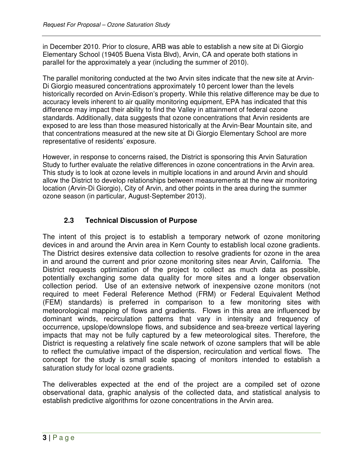in December 2010. Prior to closure, ARB was able to establish a new site at Di Giorgio Elementary School (19405 Buena Vista Blvd), Arvin, CA and operate both stations in parallel for the approximately a year (including the summer of 2010).

The parallel monitoring conducted at the two Arvin sites indicate that the new site at Arvin-Di Giorgio measured concentrations approximately 10 percent lower than the levels historically recorded on Arvin-Edison's property. While this relative difference may be due to accuracy levels inherent to air quality monitoring equipment, EPA has indicated that this difference may impact their ability to find the Valley in attainment of federal ozone standards. Additionally, data suggests that ozone concentrations that Arvin residents are exposed to are less than those measured historically at the Arvin-Bear Mountain site, and that concentrations measured at the new site at Di Giorgio Elementary School are more representative of residents' exposure.

However, in response to concerns raised, the District is sponsoring this Arvin Saturation Study to further evaluate the relative differences in ozone concentrations in the Arvin area. This study is to look at ozone levels in multiple locations in and around Arvin and should allow the District to develop relationships between measurements at the new air monitoring location (Arvin-Di Giorgio), City of Arvin, and other points in the area during the summer ozone season (in particular, August-September 2013).

## **2.3 Technical Discussion of Purpose**

The intent of this project is to establish a temporary network of ozone monitoring devices in and around the Arvin area in Kern County to establish local ozone gradients. The District desires extensive data collection to resolve gradients for ozone in the area in and around the current and prior ozone monitoring sites near Arvin, California. The District requests optimization of the project to collect as much data as possible, potentially exchanging some data quality for more sites and a longer observation collection period. Use of an extensive network of inexpensive ozone monitors (not required to meet Federal Reference Method (FRM) or Federal Equivalent Method (FEM) standards) is preferred in comparison to a few monitoring sites with meteorological mapping of flows and gradients. Flows in this area are influenced by dominant winds, recirculation patterns that vary in intensity and frequency of occurrence, upslope/downslope flows, and subsidence and sea-breeze vertical layering impacts that may not be fully captured by a few meteorological sites. Therefore, the District is requesting a relatively fine scale network of ozone samplers that will be able to reflect the cumulative impact of the dispersion, recirculation and vertical flows. The concept for the study is small scale spacing of monitors intended to establish a saturation study for local ozone gradients.

The deliverables expected at the end of the project are a compiled set of ozone observational data, graphic analysis of the collected data, and statistical analysis to establish predictive algorithms for ozone concentrations in the Arvin area.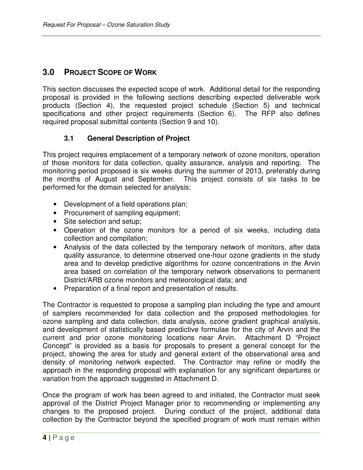# **3.0 PROJECT SCOPE OF WORK**

This section discusses the expected scope of work. Additional detail for the responding proposal is provided in the following sections describing expected deliverable work products (Section 4), the requested project schedule (Section 5) and technical specifications and other project requirements (Section 6). The RFP also defines required proposal submittal contents (Section 9 and 10).

#### **3.1 General Description of Project**

This project requires emplacement of a temporary network of ozone monitors, operation of those monitors for data collection, quality assurance, analysis and reporting. The monitoring period proposed is six weeks during the summer of 2013, preferably during the months of August and September. This project consists of six tasks to be performed for the domain selected for analysis:

- Development of a field operations plan;
- Procurement of sampling equipment;
- Site selection and setup;
- Operation of the ozone monitors for a period of six weeks, including data collection and compilation;
- Analysis of the data collected by the temporary network of monitors, after data quality assurance, to determine observed one-hour ozone gradients in the study area and to develop predictive algorithms for ozone concentrations in the Arvin area based on correlation of the temporary network observations to permanent District/ARB ozone monitors and meteorological data; and
- Preparation of a final report and presentation of results.

The Contractor is requested to propose a sampling plan including the type and amount of samplers recommended for data collection and the proposed methodologies for ozone sampling and data collection, data analysis, ozone gradient graphical analysis, and development of statistically based predictive formulae for the city of Arvin and the current and prior ozone monitoring locations near Arvin. Attachment D "Project Concept" is provided as a basis for proposals to present a general concept for the project, showing the area for study and general extent of the observational area and density of monitoring network expected. The Contractor may refine or modify the approach in the responding proposal with explanation for any significant departures or variation from the approach suggested in Attachment D.

Once the program of work has been agreed to and initiated, the Contractor must seek approval of the District Project Manager prior to recommending or implementing any changes to the proposed project. During conduct of the project, additional data collection by the Contractor beyond the specified program of work must remain within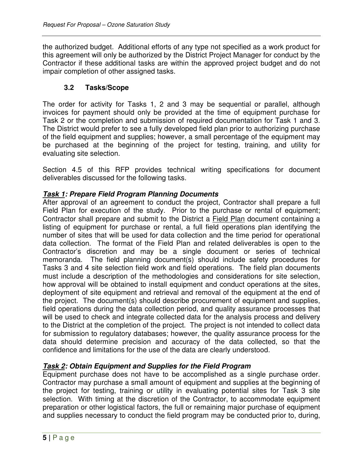the authorized budget. Additional efforts of any type not specified as a work product for this agreement will only be authorized by the District Project Manager for conduct by the Contractor if these additional tasks are within the approved project budget and do not impair completion of other assigned tasks.

#### **3.2 Tasks/Scope**

The order for activity for Tasks 1, 2 and 3 may be sequential or parallel, although invoices for payment should only be provided at the time of equipment purchase for Task 2 or the completion and submission of required documentation for Task 1 and 3. The District would prefer to see a fully developed field plan prior to authorizing purchase of the field equipment and supplies; however, a small percentage of the equipment may be purchased at the beginning of the project for testing, training, and utility for evaluating site selection.

Section 4.5 of this RFP provides technical writing specifications for document deliverables discussed for the following tasks.

#### **Task 1: Prepare Field Program Planning Documents**

After approval of an agreement to conduct the project, Contractor shall prepare a full Field Plan for execution of the study. Prior to the purchase or rental of equipment; Contractor shall prepare and submit to the District a Field Plan document containing a listing of equipment for purchase or rental, a full field operations plan identifying the number of sites that will be used for data collection and the time period for operational data collection. The format of the Field Plan and related deliverables is open to the Contractor's discretion and may be a single document or series of technical memoranda. The field planning document(s) should include safety procedures for Tasks 3 and 4 site selection field work and field operations. The field plan documents must include a description of the methodologies and considerations for site selection, how approval will be obtained to install equipment and conduct operations at the sites, deployment of site equipment and retrieval and removal of the equipment at the end of the project. The document(s) should describe procurement of equipment and supplies, field operations during the data collection period, and quality assurance processes that will be used to check and integrate collected data for the analysis process and delivery to the District at the completion of the project. The project is not intended to collect data for submission to regulatory databases; however, the quality assurance process for the data should determine precision and accuracy of the data collected, so that the confidence and limitations for the use of the data are clearly understood.

#### **Task 2: Obtain Equipment and Supplies for the Field Program**

Equipment purchase does not have to be accomplished as a single purchase order. Contractor may purchase a small amount of equipment and supplies at the beginning of the project for testing, training or utility in evaluating potential sites for Task 3 site selection. With timing at the discretion of the Contractor, to accommodate equipment preparation or other logistical factors, the full or remaining major purchase of equipment and supplies necessary to conduct the field program may be conducted prior to, during,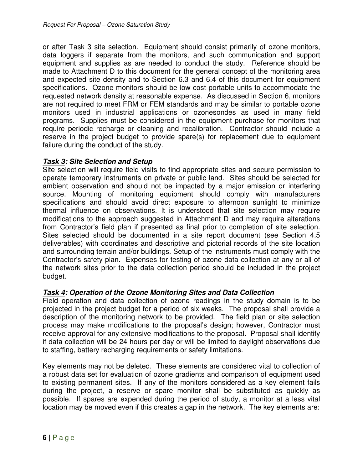or after Task 3 site selection. Equipment should consist primarily of ozone monitors, data loggers if separate from the monitors, and such communication and support equipment and supplies as are needed to conduct the study. Reference should be made to Attachment D to this document for the general concept of the monitoring area and expected site density and to Section 6.3 and 6.4 of this document for equipment specifications. Ozone monitors should be low cost portable units to accommodate the requested network density at reasonable expense. As discussed in Section 6, monitors are not required to meet FRM or FEM standards and may be similar to portable ozone monitors used in industrial applications or ozonesondes as used in many field programs. Supplies must be considered in the equipment purchase for monitors that require periodic recharge or cleaning and recalibration. Contractor should include a reserve in the project budget to provide spare(s) for replacement due to equipment failure during the conduct of the study.

#### **Task 3: Site Selection and Setup**

Site selection will require field visits to find appropriate sites and secure permission to operate temporary instruments on private or public land. Sites should be selected for ambient observation and should not be impacted by a major emission or interfering source. Mounting of monitoring equipment should comply with manufacturers specifications and should avoid direct exposure to afternoon sunlight to minimize thermal influence on observations. It is understood that site selection may require modifications to the approach suggested in Attachment D and may require alterations from Contractor's field plan if presented as final prior to completion of site selection. Sites selected should be documented in a site report document (see Section 4.5 deliverables) with coordinates and descriptive and pictorial records of the site location and surrounding terrain and/or buildings. Setup of the instruments must comply with the Contractor's safety plan. Expenses for testing of ozone data collection at any or all of the network sites prior to the data collection period should be included in the project budget.

#### **Task 4: Operation of the Ozone Monitoring Sites and Data Collection**

Field operation and data collection of ozone readings in the study domain is to be projected in the project budget for a period of six weeks. The proposal shall provide a description of the monitoring network to be provided. The field plan or site selection process may make modifications to the proposal's design; however, Contractor must receive approval for any extensive modifications to the proposal. Proposal shall identify if data collection will be 24 hours per day or will be limited to daylight observations due to staffing, battery recharging requirements or safety limitations.

Key elements may not be deleted. These elements are considered vital to collection of a robust data set for evaluation of ozone gradients and comparison of equipment used to existing permanent sites. If any of the monitors considered as a key element fails during the project, a reserve or spare monitor shall be substituted as quickly as possible. If spares are expended during the period of study, a monitor at a less vital location may be moved even if this creates a gap in the network. The key elements are: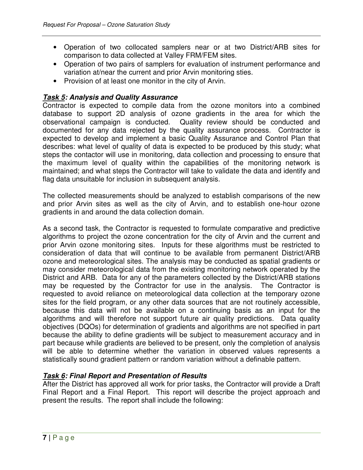- Operation of two collocated samplers near or at two District/ARB sites for comparison to data collected at Valley FRM/FEM sites.
- Operation of two pairs of samplers for evaluation of instrument performance and variation at/near the current and prior Arvin monitoring sties.
- Provision of at least one monitor in the city of Arvin.

#### **Task 5: Analysis and Quality Assurance**

Contractor is expected to compile data from the ozone monitors into a combined database to support 2D analysis of ozone gradients in the area for which the observational campaign is conducted. Quality review should be conducted and documented for any data rejected by the quality assurance process. Contractor is expected to develop and implement a basic Quality Assurance and Control Plan that describes: what level of quality of data is expected to be produced by this study; what steps the contactor will use in monitoring, data collection and processing to ensure that the maximum level of quality within the capabilities of the monitoring network is maintained; and what steps the Contractor will take to validate the data and identify and flag data unsuitable for inclusion in subsequent analysis.

The collected measurements should be analyzed to establish comparisons of the new and prior Arvin sites as well as the city of Arvin, and to establish one-hour ozone gradients in and around the data collection domain.

As a second task, the Contractor is requested to formulate comparative and predictive algorithms to project the ozone concentration for the city of Arvin and the current and prior Arvin ozone monitoring sites. Inputs for these algorithms must be restricted to consideration of data that will continue to be available from permanent District/ARB ozone and meteorological sites. The analysis may be conducted as spatial gradients or may consider meteorological data from the existing monitoring network operated by the District and ARB. Data for any of the parameters collected by the District/ARB stations may be requested by the Contractor for use in the analysis. The Contractor is requested to avoid reliance on meteorological data collection at the temporary ozone sites for the field program, or any other data sources that are not routinely accessible, because this data will not be available on a continuing basis as an input for the algorithms and will therefore not support future air quality predictions. Data quality objectives (DQOs) for determination of gradients and algorithms are not specified in part because the ability to define gradients will be subject to measurement accuracy and in part because while gradients are believed to be present, only the completion of analysis will be able to determine whether the variation in observed values represents a statistically sound gradient pattern or random variation without a definable pattern.

#### **Task 6: Final Report and Presentation of Results**

After the District has approved all work for prior tasks, the Contractor will provide a Draft Final Report and a Final Report. This report will describe the project approach and present the results. The report shall include the following: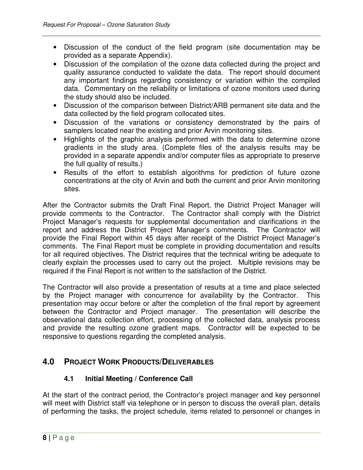- Discussion of the conduct of the field program (site documentation may be provided as a separate Appendix).
- Discussion of the compilation of the ozone data collected during the project and quality assurance conducted to validate the data. The report should document any important findings regarding consistency or variation within the compiled data. Commentary on the reliability or limitations of ozone monitors used during the study should also be included.
- Discussion of the comparison between District/ARB permanent site data and the data collected by the field program collocated sites.
- Discussion of the variations or consistency demonstrated by the pairs of samplers located near the existing and prior Arvin monitoring sites.
- Highlights of the graphic analysis performed with the data to determine ozone gradients in the study area. (Complete files of the analysis results may be provided in a separate appendix and/or computer files as appropriate to preserve the full quality of results.)
- Results of the effort to establish algorithms for prediction of future ozone concentrations at the city of Arvin and both the current and prior Arvin monitoring sites.

After the Contractor submits the Draft Final Report, the District Project Manager will provide comments to the Contractor. The Contractor shall comply with the District Project Manager's requests for supplemental documentation and clarifications in the report and address the District Project Manager's comments. The Contractor will provide the Final Report within 45 days after receipt of the District Project Manager's comments. The Final Report must be complete in providing documentation and results for all required objectives. The District requires that the technical writing be adequate to clearly explain the processes used to carry out the project. Multiple revisions may be required if the Final Report is not written to the satisfaction of the District.

The Contractor will also provide a presentation of results at a time and place selected by the Project manager with concurrence for availability by the Contractor. This presentation may occur before or after the completion of the final report by agreement between the Contractor and Project manager. The presentation will describe the observational data collection effort, processing of the collected data, analysis process and provide the resulting ozone gradient maps. Contractor will be expected to be responsive to questions regarding the completed analysis.

# **4.0 PROJECT WORK PRODUCTS/DELIVERABLES**

## **4.1 Initial Meeting / Conference Call**

At the start of the contract period, the Contractor's project manager and key personnel will meet with District staff via telephone or in person to discuss the overall plan, details of performing the tasks, the project schedule, items related to personnel or changes in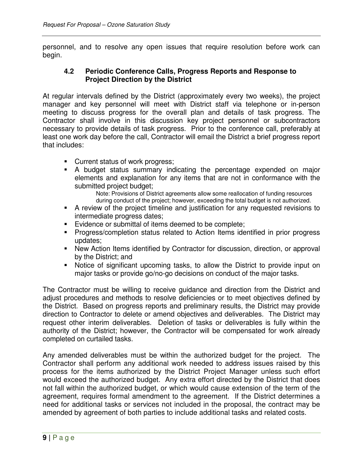personnel, and to resolve any open issues that require resolution before work can begin.

#### **4.2 Periodic Conference Calls, Progress Reports and Response to Project Direction by the District**

At regular intervals defined by the District (approximately every two weeks), the project manager and key personnel will meet with District staff via telephone or in-person meeting to discuss progress for the overall plan and details of task progress. The Contractor shall involve in this discussion key project personnel or subcontractors necessary to provide details of task progress. Prior to the conference call, preferably at least one work day before the call, Contractor will email the District a brief progress report that includes:

- **Current status of work progress;**
- A budget status summary indicating the percentage expended on major elements and explanation for any items that are not in conformance with the submitted project budget;
	- Note: Provisions of District agreements allow some reallocation of funding resources during conduct of the project; however, exceeding the total budget is not authorized.
- A review of the project timeline and justification for any requested revisions to intermediate progress dates;
- **Evidence or submittal of items deemed to be complete;**
- **Progress/completion status related to Action Items identified in prior progress** updates;
- New Action Items identified by Contractor for discussion, direction, or approval by the District; and
- Notice of significant upcoming tasks, to allow the District to provide input on major tasks or provide go/no-go decisions on conduct of the major tasks.

The Contractor must be willing to receive guidance and direction from the District and adjust procedures and methods to resolve deficiencies or to meet objectives defined by the District. Based on progress reports and preliminary results, the District may provide direction to Contractor to delete or amend objectives and deliverables. The District may request other interim deliverables. Deletion of tasks or deliverables is fully within the authority of the District; however, the Contractor will be compensated for work already completed on curtailed tasks.

Any amended deliverables must be within the authorized budget for the project. The Contractor shall perform any additional work needed to address issues raised by this process for the items authorized by the District Project Manager unless such effort would exceed the authorized budget. Any extra effort directed by the District that does not fall within the authorized budget, or which would cause extension of the term of the agreement, requires formal amendment to the agreement. If the District determines a need for additional tasks or services not included in the proposal, the contract may be amended by agreement of both parties to include additional tasks and related costs.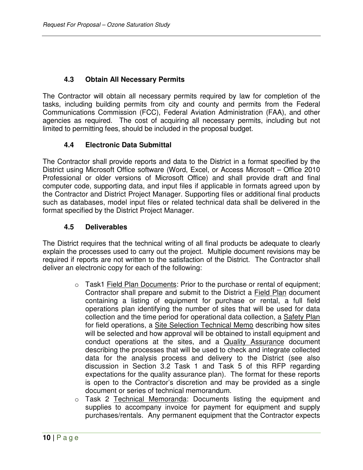#### **4.3 Obtain All Necessary Permits**

The Contractor will obtain all necessary permits required by law for completion of the tasks, including building permits from city and county and permits from the Federal Communications Commission (FCC), Federal Aviation Administration (FAA), and other agencies as required. The cost of acquiring all necessary permits, including but not limited to permitting fees, should be included in the proposal budget.

#### **4.4 Electronic Data Submittal**

The Contractor shall provide reports and data to the District in a format specified by the District using Microsoft Office software (Word, Excel, or Access Microsoft – Office 2010 Professional or older versions of Microsoft Office) and shall provide draft and final computer code, supporting data, and input files if applicable in formats agreed upon by the Contractor and District Project Manager. Supporting files or additional final products such as databases, model input files or related technical data shall be delivered in the format specified by the District Project Manager.

#### **4.5 Deliverables**

The District requires that the technical writing of all final products be adequate to clearly explain the processes used to carry out the project. Multiple document revisions may be required if reports are not written to the satisfaction of the District. The Contractor shall deliver an electronic copy for each of the following:

- $\circ$  Task1 Field Plan Documents: Prior to the purchase or rental of equipment; Contractor shall prepare and submit to the District a Field Plan document containing a listing of equipment for purchase or rental, a full field operations plan identifying the number of sites that will be used for data collection and the time period for operational data collection, a Safety Plan for field operations, a Site Selection Technical Memo describing how sites will be selected and how approval will be obtained to install equipment and conduct operations at the sites, and a Quality Assurance document describing the processes that will be used to check and integrate collected data for the analysis process and delivery to the District (see also discussion in Section 3.2 Task 1 and Task 5 of this RFP regarding expectations for the quality assurance plan). The format for these reports is open to the Contractor's discretion and may be provided as a single document or series of technical memorandum.
- o Task 2 Technical Memoranda: Documents listing the equipment and supplies to accompany invoice for payment for equipment and supply purchases/rentals. Any permanent equipment that the Contractor expects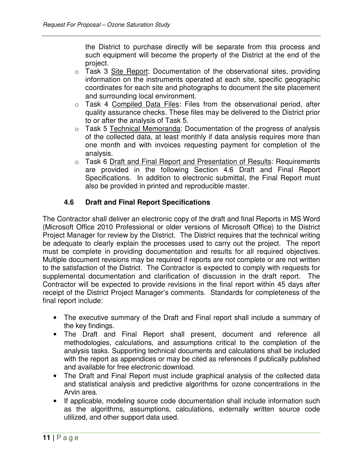the District to purchase directly will be separate from this process and such equipment will become the property of the District at the end of the project.

- o Task 3 Site Report: Documentation of the observational sites, providing information on the instruments operated at each site, specific geographic coordinates for each site and photographs to document the site placement and surrounding local environment.
- o Task 4 Compiled Data Files: Files from the observational period, after quality assurance checks. These files may be delivered to the District prior to or after the analysis of Task 5.
- o Task 5 Technical Memoranda: Documentation of the progress of analysis of the collected data, at least monthly if data analysis requires more than one month and with invoices requesting payment for completion of the analysis.
- o Task 6 Draft and Final Report and Presentation of Results: Requirements are provided in the following Section 4.6 Draft and Final Report Specifications. In addition to electronic submittal, the Final Report must also be provided in printed and reproducible master.

### **4.6 Draft and Final Report Specifications**

The Contractor shall deliver an electronic copy of the draft and final Reports in MS Word (Microsoft Office 2010 Professional or older versions of Microsoft Office) to the District Project Manager for review by the District. The District requires that the technical writing be adequate to clearly explain the processes used to carry out the project. The report must be complete in providing documentation and results for all required objectives. Multiple document revisions may be required if reports are not complete or are not written to the satisfaction of the District. The Contractor is expected to comply with requests for supplemental documentation and clarification of discussion in the draft report. The Contractor will be expected to provide revisions in the final report within 45 days after receipt of the District Project Manager's comments. Standards for completeness of the final report include:

- The executive summary of the Draft and Final report shall include a summary of the key findings.
- The Draft and Final Report shall present, document and reference all methodologies, calculations, and assumptions critical to the completion of the analysis tasks. Supporting technical documents and calculations shall be included with the report as appendices or may be cited as references if publically published and available for free electronic download.
- The Draft and Final Report must include graphical analysis of the collected data and statistical analysis and predictive algorithms for ozone concentrations in the Arvin area.
- If applicable, modeling source code documentation shall include information such as the algorithms, assumptions, calculations, externally written source code utilized, and other support data used.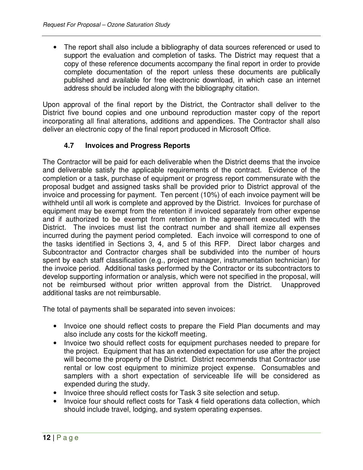• The report shall also include a bibliography of data sources referenced or used to support the evaluation and completion of tasks. The District may request that a copy of these reference documents accompany the final report in order to provide complete documentation of the report unless these documents are publically published and available for free electronic download, in which case an internet address should be included along with the bibliography citation.

Upon approval of the final report by the District, the Contractor shall deliver to the District five bound copies and one unbound reproduction master copy of the report incorporating all final alterations, additions and appendices. The Contractor shall also deliver an electronic copy of the final report produced in Microsoft Office.

### **4.7 Invoices and Progress Reports**

The Contractor will be paid for each deliverable when the District deems that the invoice and deliverable satisfy the applicable requirements of the contract. Evidence of the completion or a task, purchase of equipment or progress report commensurate with the proposal budget and assigned tasks shall be provided prior to District approval of the invoice and processing for payment. Ten percent (10%) of each invoice payment will be withheld until all work is complete and approved by the District. Invoices for purchase of equipment may be exempt from the retention if invoiced separately from other expense and if authorized to be exempt from retention in the agreement executed with the District. The invoices must list the contract number and shall itemize all expenses incurred during the payment period completed. Each invoice will correspond to one of the tasks identified in Sections 3, 4, and 5 of this RFP. Direct labor charges and Subcontractor and Contractor charges shall be subdivided into the number of hours spent by each staff classification (e.g., project manager, instrumentation technician) for the invoice period. Additional tasks performed by the Contractor or its subcontractors to develop supporting information or analysis, which were not specified in the proposal, will not be reimbursed without prior written approval from the District. Unapproved additional tasks are not reimbursable.

The total of payments shall be separated into seven invoices:

- Invoice one should reflect costs to prepare the Field Plan documents and may also include any costs for the kickoff meeting.
- Invoice two should reflect costs for equipment purchases needed to prepare for the project. Equipment that has an extended expectation for use after the project will become the property of the District. District recommends that Contractor use rental or low cost equipment to minimize project expense. Consumables and samplers with a short expectation of serviceable life will be considered as expended during the study.
- Invoice three should reflect costs for Task 3 site selection and setup.
- Invoice four should reflect costs for Task 4 field operations data collection, which should include travel, lodging, and system operating expenses.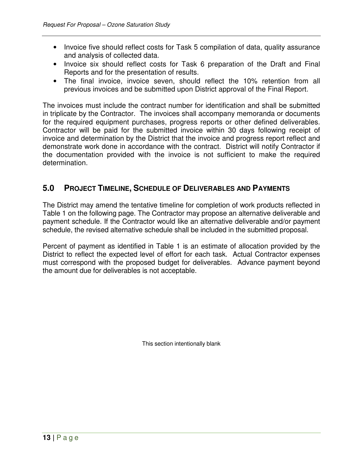- Invoice five should reflect costs for Task 5 compilation of data, quality assurance and analysis of collected data.
- Invoice six should reflect costs for Task 6 preparation of the Draft and Final Reports and for the presentation of results.
- The final invoice, invoice seven, should reflect the 10% retention from all previous invoices and be submitted upon District approval of the Final Report.

The invoices must include the contract number for identification and shall be submitted in triplicate by the Contractor. The invoices shall accompany memoranda or documents for the required equipment purchases, progress reports or other defined deliverables. Contractor will be paid for the submitted invoice within 30 days following receipt of invoice and determination by the District that the invoice and progress report reflect and demonstrate work done in accordance with the contract. District will notify Contractor if the documentation provided with the invoice is not sufficient to make the required determination.

# **5.0 PROJECT TIMELINE, SCHEDULE OF DELIVERABLES AND PAYMENTS**

The District may amend the tentative timeline for completion of work products reflected in Table 1 on the following page. The Contractor may propose an alternative deliverable and payment schedule. If the Contractor would like an alternative deliverable and/or payment schedule, the revised alternative schedule shall be included in the submitted proposal.

Percent of payment as identified in Table 1 is an estimate of allocation provided by the District to reflect the expected level of effort for each task. Actual Contractor expenses must correspond with the proposed budget for deliverables. Advance payment beyond the amount due for deliverables is not acceptable.

This section intentionally blank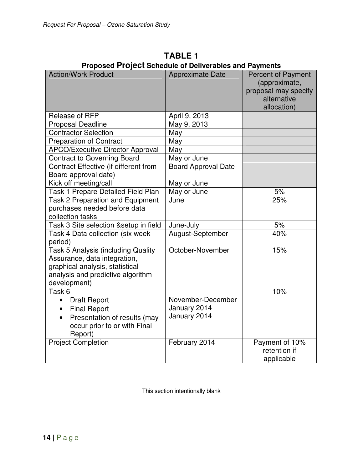| <b>Action/Work Product</b>                                                                                                                                        | <b>Approximate Date</b>                           | <b>Percent of Payment</b><br>(approximate,<br>proposal may specify<br>alternative<br>allocation) |
|-------------------------------------------------------------------------------------------------------------------------------------------------------------------|---------------------------------------------------|--------------------------------------------------------------------------------------------------|
| Release of RFP                                                                                                                                                    | April 9, 2013                                     |                                                                                                  |
| <b>Proposal Deadline</b>                                                                                                                                          | May 9, 2013                                       |                                                                                                  |
| <b>Contractor Selection</b>                                                                                                                                       | May                                               |                                                                                                  |
| <b>Preparation of Contract</b>                                                                                                                                    | May                                               |                                                                                                  |
| <b>APCO/Executive Director Approval</b>                                                                                                                           | May                                               |                                                                                                  |
| <b>Contract to Governing Board</b>                                                                                                                                | May or June                                       |                                                                                                  |
| Contract Effective (if different from<br>Board approval date)                                                                                                     | <b>Board Approval Date</b>                        |                                                                                                  |
| Kick off meeting/call                                                                                                                                             | May or June                                       |                                                                                                  |
| Task 1 Prepare Detailed Field Plan                                                                                                                                | May or June                                       | 5%                                                                                               |
| <b>Task 2 Preparation and Equipment</b><br>purchases needed before data<br>collection tasks                                                                       | June                                              | 25%                                                                                              |
| Task 3 Site selection & setup in field                                                                                                                            | June-July                                         | 5%                                                                                               |
| Task 4 Data collection (six week<br>period)                                                                                                                       | August-September                                  | 40%                                                                                              |
| <b>Task 5 Analysis (including Quality</b><br>Assurance, data integration,<br>graphical analysis, statistical<br>analysis and predictive algorithm<br>development) | October-November                                  | 15%                                                                                              |
| Task 6                                                                                                                                                            |                                                   | 10%                                                                                              |
| <b>Draft Report</b><br>$\bullet$<br><b>Final Report</b><br>Presentation of results (may<br>occur prior to or with Final<br>Report)                                | November-December<br>January 2014<br>January 2014 |                                                                                                  |
| <b>Project Completion</b>                                                                                                                                         | February 2014                                     | Payment of 10%<br>retention if<br>applicable                                                     |

**TABLE 1 Proposed Project Schedule of Deliverables and Payments** 

This section intentionally blank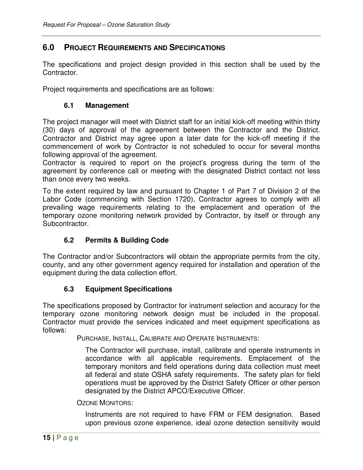#### **6.0 PROJECT REQUIREMENTS AND SPECIFICATIONS**

The specifications and project design provided in this section shall be used by the Contractor.

Project requirements and specifications are as follows:

#### **6.1 Management**

The project manager will meet with District staff for an initial kick-off meeting within thirty (30) days of approval of the agreement between the Contractor and the District. Contractor and District may agree upon a later date for the kick-off meeting if the commencement of work by Contractor is not scheduled to occur for several months following approval of the agreement.

Contractor is required to report on the project's progress during the term of the agreement by conference call or meeting with the designated District contact not less than once every two weeks.

To the extent required by law and pursuant to Chapter 1 of Part 7 of Division 2 of the Labor Code (commencing with Section 1720), Contractor agrees to comply with all prevailing wage requirements relating to the emplacement and operation of the temporary ozone monitoring network provided by Contractor, by itself or through any Subcontractor.

#### **6.2 Permits & Building Code**

The Contractor and/or Subcontractors will obtain the appropriate permits from the city, county, and any other government agency required for installation and operation of the equipment during the data collection effort.

#### **6.3 Equipment Specifications**

The specifications proposed by Contractor for instrument selection and accuracy for the temporary ozone monitoring network design must be included in the proposal. Contractor must provide the services indicated and meet equipment specifications as follows:

PURCHASE, INSTALL, CALIBRATE AND OPERATE INSTRUMENTS:

The Contractor will purchase, install, calibrate and operate instruments in accordance with all applicable requirements. Emplacement of the temporary monitors and field operations during data collection must meet all federal and state OSHA safety requirements. The safety plan for field operations must be approved by the District Safety Officer or other person designated by the District APCO/Executive Officer.

OZONE MONITORS:

Instruments are not required to have FRM or FEM designation. Based upon previous ozone experience, ideal ozone detection sensitivity would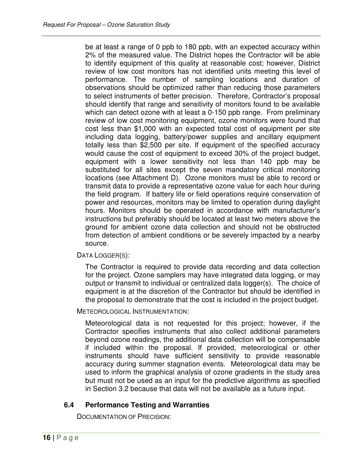be at least a range of 0 ppb to 180 ppb, with an expected accuracy within 2% of the measured value. The District hopes the Contractor will be able to identify equipment of this quality at reasonable cost; however, District review of low cost monitors has not identified units meeting this level of performance. The number of sampling locations and duration of observations should be optimized rather than reducing those parameters to select instruments of better precision. Therefore, Contractor's proposal should identify that range and sensitivity of monitors found to be available which can detect ozone with at least a 0-150 ppb range. From preliminary review of low cost monitoring equipment, ozone monitors were found that cost less than \$1,000 with an expected total cost of equipment per site including data logging, battery/power supplies and ancillary equipment totally less than \$2,500 per site. If equipment of the specified accuracy would cause the cost of equipment to exceed 30% of the project budget, equipment with a lower sensitivity not less than 140 ppb may be substituted for all sites except the seven mandatory critical monitoring locations (see Attachment D). Ozone monitors must be able to record or transmit data to provide a representative ozone value for each hour during the field program. If battery life or field operations require conservation of power and resources, monitors may be limited to operation during daylight hours. Monitors should be operated in accordance with manufacturer's instructions but preferably should be located at least two meters above the ground for ambient ozone data collection and should not be obstructed from detection of ambient conditions or be severely impacted by a nearby source.

DATA LOGGER(S):

The Contractor is required to provide data recording and data collection for the project. Ozone samplers may have integrated data logging, or may output or transmit to individual or centralized data logger(s). The choice of equipment is at the discretion of the Contractor but should be identified in the proposal to demonstrate that the cost is included in the project budget.

METEOROLOGICAL INSTRUMENTATION:

Meteorological data is not requested for this project; however, if the Contractor specifies instruments that also collect additional parameters beyond ozone readings, the additional data collection will be compensable if included within the proposal. If provided, meteorological or other instruments should have sufficient sensitivity to provide reasonable accuracy during summer stagnation events. Meteorological data may be used to inform the graphical analysis of ozone gradients in the study area but must not be used as an input for the predictive algorithms as specified in Section 3.2 because that data will not be available as a future input.

### **6.4 Performance Testing and Warranties**

DOCUMENTATION OF PRECISION: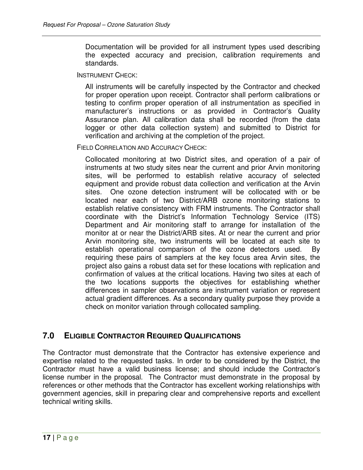Documentation will be provided for all instrument types used describing the expected accuracy and precision, calibration requirements and standards.

INSTRUMENT CHECK:

All instruments will be carefully inspected by the Contractor and checked for proper operation upon receipt. Contractor shall perform calibrations or testing to confirm proper operation of all instrumentation as specified in manufacturer's instructions or as provided in Contractor's Quality Assurance plan. All calibration data shall be recorded (from the data logger or other data collection system) and submitted to District for verification and archiving at the completion of the project.

FIELD CORRELATION AND ACCURACY CHECK:

Collocated monitoring at two District sites, and operation of a pair of instruments at two study sites near the current and prior Arvin monitoring sites, will be performed to establish relative accuracy of selected equipment and provide robust data collection and verification at the Arvin sites. One ozone detection instrument will be collocated with or be located near each of two District/ARB ozone monitoring stations to establish relative consistency with FRM instruments. The Contractor shall coordinate with the District's Information Technology Service (ITS) Department and Air monitoring staff to arrange for installation of the monitor at or near the District/ARB sites. At or near the current and prior Arvin monitoring site, two instruments will be located at each site to establish operational comparison of the ozone detectors used. By requiring these pairs of samplers at the key focus area Arvin sites, the project also gains a robust data set for these locations with replication and confirmation of values at the critical locations. Having two sites at each of the two locations supports the objectives for establishing whether differences in sampler observations are instrument variation or represent actual gradient differences. As a secondary quality purpose they provide a check on monitor variation through collocated sampling.

# **7.0 ELIGIBLE CONTRACTOR REQUIRED QUALIFICATIONS**

The Contractor must demonstrate that the Contractor has extensive experience and expertise related to the requested tasks. In order to be considered by the District, the Contractor must have a valid business license; and should include the Contractor's license number in the proposal. The Contractor must demonstrate in the proposal by references or other methods that the Contractor has excellent working relationships with government agencies, skill in preparing clear and comprehensive reports and excellent technical writing skills.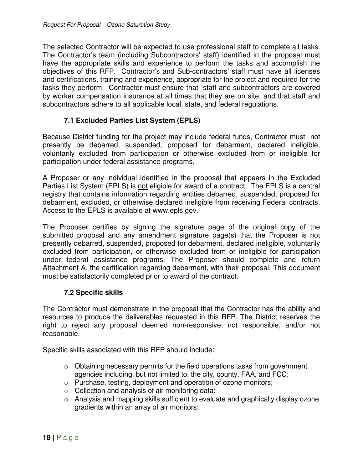The selected Contractor will be expected to use professional staff to complete all tasks. The Contractor's team (including Subcontractors' staff) identified in the proposal must have the appropriate skills and experience to perform the tasks and accomplish the objectives of this RFP. Contractor's and Sub-contractors' staff must have all licenses and certifications, training and experience, appropriate for the project and required for the tasks they perform. Contractor must ensure that staff and subcontractors are covered by worker compensation insurance at all times that they are on site, and that staff and subcontractors adhere to all applicable local, state, and federal regulations.

### **7.1 Excluded Parties List System (EPLS)**

Because District funding for the project may include federal funds, Contractor must not presently be debarred, suspended, proposed for debarment, declared ineligible, voluntarily excluded from participation or otherwise excluded from or ineligible for participation under federal assistance programs.

A Proposer or any individual identified in the proposal that appears in the Excluded Parties List System (EPLS) is not eligible for award of a contract. The EPLS is a central registry that contains information regarding entities debarred, suspended, proposed for debarment, excluded, or otherwise declared ineligible from receiving Federal contracts. Access to the EPLS is available at www.epls.gov.

The Proposer certifies by signing the signature page of the original copy of the submitted proposal and any amendment signature page(s) that the Proposer is not presently debarred, suspended, proposed for debarment, declared ineligible, voluntarily excluded from participation, or otherwise excluded from or ineligible for participation under federal assistance programs. The Proposer should complete and return Attachment A, the certification regarding debarment, with their proposal. This document must be satisfactorily completed prior to award of the contract.

#### **7.2 Specific skills**

The Contractor must demonstrate in the proposal that the Contractor has the ability and resources to produce the deliverables requested in this RFP. The District reserves the right to reject any proposal deemed non-responsive, not responsible, and/or not reasonable.

Specific skills associated with this RFP should include:

- $\circ$  Obtaining necessary permits for the field operations tasks from government agencies including, but not limited to, the city, county, FAA, and FCC;
- o Purchase, testing, deployment and operation of ozone monitors;
- $\circ$  Collection and analysis of air monitoring data;
- o Analysis and mapping skills sufficient to evaluate and graphically display ozone gradients within an array of air monitors;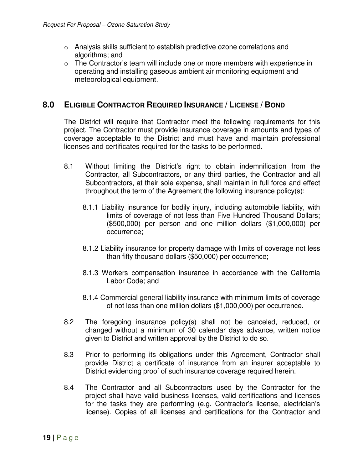- $\circ$  Analysis skills sufficient to establish predictive ozone correlations and algorithms; and
- o The Contractor's team will include one or more members with experience in operating and installing gaseous ambient air monitoring equipment and meteorological equipment.

## **8.0 ELIGIBLE CONTRACTOR REQUIRED INSURANCE / LICENSE / BOND**

The District will require that Contractor meet the following requirements for this project. The Contractor must provide insurance coverage in amounts and types of coverage acceptable to the District and must have and maintain professional licenses and certificates required for the tasks to be performed.

- 8.1 Without limiting the District's right to obtain indemnification from the Contractor, all Subcontractors, or any third parties, the Contractor and all Subcontractors, at their sole expense, shall maintain in full force and effect throughout the term of the Agreement the following insurance policy(s):
	- 8.1.1 Liability insurance for bodily injury, including automobile liability, with limits of coverage of not less than Five Hundred Thousand Dollars; (\$500,000) per person and one million dollars (\$1,000,000) per occurrence;
	- 8.1.2 Liability insurance for property damage with limits of coverage not less than fifty thousand dollars (\$50,000) per occurrence;
	- 8.1.3 Workers compensation insurance in accordance with the California Labor Code; and
	- 8.1.4 Commercial general liability insurance with minimum limits of coverage of not less than one million dollars (\$1,000,000) per occurrence.
- 8.2 The foregoing insurance policy(s) shall not be canceled, reduced, or changed without a minimum of 30 calendar days advance, written notice given to District and written approval by the District to do so.
- 8.3 Prior to performing its obligations under this Agreement, Contractor shall provide District a certificate of insurance from an insurer acceptable to District evidencing proof of such insurance coverage required herein.
- 8.4 The Contractor and all Subcontractors used by the Contractor for the project shall have valid business licenses, valid certifications and licenses for the tasks they are performing (e.g. Contractor's license, electrician's license). Copies of all licenses and certifications for the Contractor and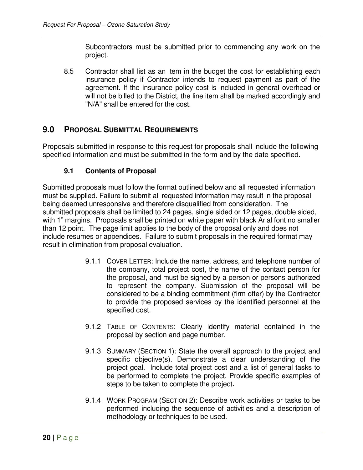Subcontractors must be submitted prior to commencing any work on the project.

8.5 Contractor shall list as an item in the budget the cost for establishing each insurance policy if Contractor intends to request payment as part of the agreement. If the insurance policy cost is included in general overhead or will not be billed to the District, the line item shall be marked accordingly and "N/A" shall be entered for the cost.

## **9.0 PROPOSAL SUBMITTAL REQUIREMENTS**

Proposals submitted in response to this request for proposals shall include the following specified information and must be submitted in the form and by the date specified.

#### **9.1 Contents of Proposal**

Submitted proposals must follow the format outlined below and all requested information must be supplied. Failure to submit all requested information may result in the proposal being deemed unresponsive and therefore disqualified from consideration. The submitted proposals shall be limited to 24 pages, single sided or 12 pages, double sided, with 1" margins. Proposals shall be printed on white paper with black Arial font no smaller than 12 point. The page limit applies to the body of the proposal only and does not include resumes or appendices. Failure to submit proposals in the required format may result in elimination from proposal evaluation.

- 9.1.1 COVER LETTER: Include the name, address, and telephone number of the company, total project cost, the name of the contact person for the proposal, and must be signed by a person or persons authorized to represent the company. Submission of the proposal will be considered to be a binding commitment (firm offer) by the Contractor to provide the proposed services by the identified personnel at the specified cost.
- 9.1.2 TABLE OF CONTENTS: Clearly identify material contained in the proposal by section and page number.
- 9.1.3 SUMMARY (SECTION 1): State the overall approach to the project and specific objective(s). Demonstrate a clear understanding of the project goal. Include total project cost and a list of general tasks to be performed to complete the project. Provide specific examples of steps to be taken to complete the project**.**
- 9.1.4 WORK PROGRAM (SECTION 2): Describe work activities or tasks to be performed including the sequence of activities and a description of methodology or techniques to be used.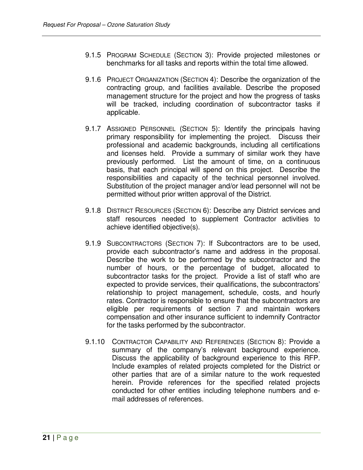- 9.1.5 PROGRAM SCHEDULE (SECTION 3): Provide projected milestones or benchmarks for all tasks and reports within the total time allowed.
- 9.1.6 PROJECT ORGANIZATION (SECTION 4): Describe the organization of the contracting group, and facilities available. Describe the proposed management structure for the project and how the progress of tasks will be tracked, including coordination of subcontractor tasks if applicable.
- 9.1.7 ASSIGNED PERSONNEL (SECTION 5): Identify the principals having primary responsibility for implementing the project. Discuss their professional and academic backgrounds, including all certifications and licenses held. Provide a summary of similar work they have previously performed. List the amount of time, on a continuous basis, that each principal will spend on this project. Describe the responsibilities and capacity of the technical personnel involved. Substitution of the project manager and/or lead personnel will not be permitted without prior written approval of the District.
- 9.1.8 DISTRICT RESOURCES (SECTION 6): Describe any District services and staff resources needed to supplement Contractor activities to achieve identified objective(s).
- 9.1.9 SUBCONTRACTORS (SECTION 7): If Subcontractors are to be used, provide each subcontractor's name and address in the proposal. Describe the work to be performed by the subcontractor and the number of hours, or the percentage of budget, allocated to subcontractor tasks for the project. Provide a list of staff who are expected to provide services, their qualifications, the subcontractors' relationship to project management, schedule, costs, and hourly rates. Contractor is responsible to ensure that the subcontractors are eligible per requirements of section 7 and maintain workers compensation and other insurance sufficient to indemnify Contractor for the tasks performed by the subcontractor.
- 9.1.10 CONTRACTOR CAPABILITY AND REFERENCES (SECTION 8): Provide a summary of the company's relevant background experience. Discuss the applicability of background experience to this RFP. Include examples of related projects completed for the District or other parties that are of a similar nature to the work requested herein. Provide references for the specified related projects conducted for other entities including telephone numbers and email addresses of references.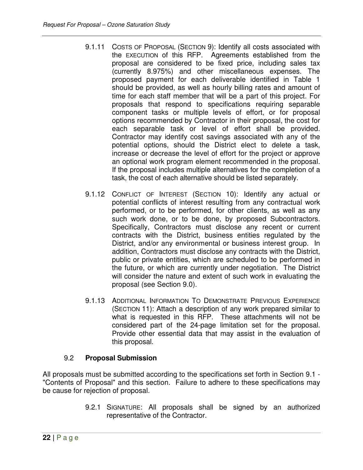- 9.1.11 COSTS OF PROPOSAL (SECTION 9): Identify all costs associated with the EXECUTION of this RFP. Agreements established from the proposal are considered to be fixed price, including sales tax (currently 8.975%) and other miscellaneous expenses. The proposed payment for each deliverable identified in Table 1 should be provided, as well as hourly billing rates and amount of time for each staff member that will be a part of this project. For proposals that respond to specifications requiring separable component tasks or multiple levels of effort, or for proposal options recommended by Contractor in their proposal, the cost for each separable task or level of effort shall be provided. Contractor may identify cost savings associated with any of the potential options, should the District elect to delete a task, increase or decrease the level of effort for the project or approve an optional work program element recommended in the proposal. If the proposal includes multiple alternatives for the completion of a task, the cost of each alternative should be listed separately.
- 9.1.12 CONFLICT OF INTEREST (SECTION 10): Identify any actual or potential conflicts of interest resulting from any contractual work performed, or to be performed, for other clients, as well as any such work done, or to be done, by proposed Subcontractors. Specifically, Contractors must disclose any recent or current contracts with the District, business entities regulated by the District, and/or any environmental or business interest group. In addition, Contractors must disclose any contracts with the District, public or private entities, which are scheduled to be performed in the future, or which are currently under negotiation. The District will consider the nature and extent of such work in evaluating the proposal (see Section 9.0).
- 9.1.13 ADDITIONAL INFORMATION TO DEMONSTRATE PREVIOUS EXPERIENCE (SECTION 11): Attach a description of any work prepared similar to what is requested in this RFP. These attachments will not be considered part of the 24-page limitation set for the proposal. Provide other essential data that may assist in the evaluation of this proposal.

#### 9.2 **Proposal Submission**

All proposals must be submitted according to the specifications set forth in Section 9.1 - "Contents of Proposal" and this section. Failure to adhere to these specifications may be cause for rejection of proposal.

> 9.2.1 SIGNATURE: All proposals shall be signed by an authorized representative of the Contractor.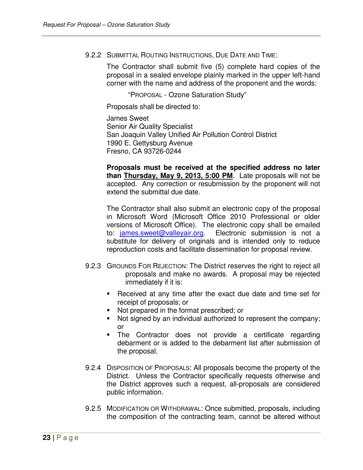#### 9.2.2 SUBMITTAL ROUTING INSTRUCTIONS, DUE DATE AND TIME:

The Contractor shall submit five (5) complete hard copies of the proposal in a sealed envelope plainly marked in the upper left-hand corner with the name and address of the proponent and the words:

"PROPOSAL - Ozone Saturation Study"

Proposals shall be directed to:

James Sweet Senior Air Quality Specialist San Joaquin Valley Unified Air Pollution Control District 1990 E. Gettysburg Avenue Fresno, CA 93726-0244

**Proposals must be received at the specified address no later than Thursday, May 9, 2013, 5:00 PM**. Late proposals will not be accepted. Any correction or resubmission by the proponent will not extend the submittal due date.

The Contractor shall also submit an electronic copy of the proposal in Microsoft Word (Microsoft Office 2010 Professional or older versions of Microsoft Office). The electronic copy shall be emailed to: james.sweet@valleyair.org. Electronic submission is not a substitute for delivery of originals and is intended only to reduce reproduction costs and facilitate dissemination for proposal review.

- 9.2.3 GROUNDS FOR REJECTION: The District reserves the right to reject all proposals and make no awards. A proposal may be rejected immediately if it is:
	- Received at any time after the exact due date and time set for receipt of proposals; or
	- Not prepared in the format prescribed; or
	- Not signed by an individual authorized to represent the company; or
	- The Contractor does not provide a certificate regarding debarment or is added to the debarment list after submission of the proposal.
- 9.2.4 DISPOSITION OF PROPOSALS: All proposals become the property of the District. Unless the Contractor specifically requests otherwise and the District approves such a request, all-proposals are considered public information.
- 9.2.5 MODIFICATION OR WITHDRAWAL: Once submitted, proposals, including the composition of the contracting team, cannot be altered without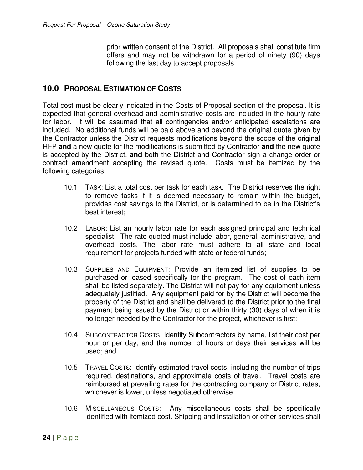prior written consent of the District. All proposals shall constitute firm offers and may not be withdrawn for a period of ninety (90) days following the last day to accept proposals.

#### **10.0 PROPOSAL ESTIMATION OF COSTS**

Total cost must be clearly indicated in the Costs of Proposal section of the proposal. It is expected that general overhead and administrative costs are included in the hourly rate for labor. It will be assumed that all contingencies and/or anticipated escalations are included. No additional funds will be paid above and beyond the original quote given by the Contractor unless the District requests modifications beyond the scope of the original RFP **and** a new quote for the modifications is submitted by Contractor **and** the new quote is accepted by the District, **and** both the District and Contractor sign a change order or contract amendment accepting the revised quote. Costs must be itemized by the following categories:

- 10.1 TASK: List a total cost per task for each task. The District reserves the right to remove tasks if it is deemed necessary to remain within the budget, provides cost savings to the District, or is determined to be in the District's best interest;
- 10.2 LABOR: List an hourly labor rate for each assigned principal and technical specialist. The rate quoted must include labor, general, administrative, and overhead costs. The labor rate must adhere to all state and local requirement for projects funded with state or federal funds;
- 10.3 SUPPLIES AND EQUIPMENT: Provide an itemized list of supplies to be purchased or leased specifically for the program. The cost of each item shall be listed separately. The District will not pay for any equipment unless adequately justified. Any equipment paid for by the District will become the property of the District and shall be delivered to the District prior to the final payment being issued by the District or within thirty (30) days of when it is no longer needed by the Contractor for the project, whichever is first;
- 10.4 SUBCONTRACTOR COSTS: Identify Subcontractors by name, list their cost per hour or per day, and the number of hours or days their services will be used; and
- 10.5 TRAVEL COSTS: Identify estimated travel costs, including the number of trips required, destinations, and approximate costs of travel. Travel costs are reimbursed at prevailing rates for the contracting company or District rates, whichever is lower, unless negotiated otherwise.
- 10.6 MISCELLANEOUS COSTS: Any miscellaneous costs shall be specifically identified with itemized cost. Shipping and installation or other services shall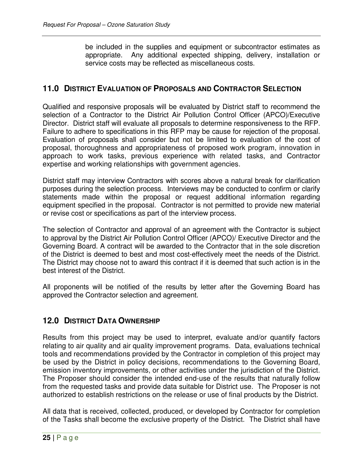be included in the supplies and equipment or subcontractor estimates as appropriate. Any additional expected shipping, delivery, installation or service costs may be reflected as miscellaneous costs.

## **11.0 DISTRICT EVALUATION OF PROPOSALS AND CONTRACTOR SELECTION**

Qualified and responsive proposals will be evaluated by District staff to recommend the selection of a Contractor to the District Air Pollution Control Officer (APCO)/Executive Director. District staff will evaluate all proposals to determine responsiveness to the RFP. Failure to adhere to specifications in this RFP may be cause for rejection of the proposal. Evaluation of proposals shall consider but not be limited to evaluation of the cost of proposal, thoroughness and appropriateness of proposed work program, innovation in approach to work tasks, previous experience with related tasks, and Contractor expertise and working relationships with government agencies.

District staff may interview Contractors with scores above a natural break for clarification purposes during the selection process. Interviews may be conducted to confirm or clarify statements made within the proposal or request additional information regarding equipment specified in the proposal. Contractor is not permitted to provide new material or revise cost or specifications as part of the interview process.

The selection of Contractor and approval of an agreement with the Contractor is subject to approval by the District Air Pollution Control Officer (APCO)/ Executive Director and the Governing Board. A contract will be awarded to the Contractor that in the sole discretion of the District is deemed to best and most cost-effectively meet the needs of the District. The District may choose not to award this contract if it is deemed that such action is in the best interest of the District.

All proponents will be notified of the results by letter after the Governing Board has approved the Contractor selection and agreement.

## **12.0 DISTRICT DATA OWNERSHIP**

Results from this project may be used to interpret, evaluate and/or quantify factors relating to air quality and air quality improvement programs. Data, evaluations technical tools and recommendations provided by the Contractor in completion of this project may be used by the District in policy decisions, recommendations to the Governing Board, emission inventory improvements, or other activities under the jurisdiction of the District. The Proposer should consider the intended end-use of the results that naturally follow from the requested tasks and provide data suitable for District use. The Proposer is not authorized to establish restrictions on the release or use of final products by the District.

All data that is received, collected, produced, or developed by Contractor for completion of the Tasks shall become the exclusive property of the District. The District shall have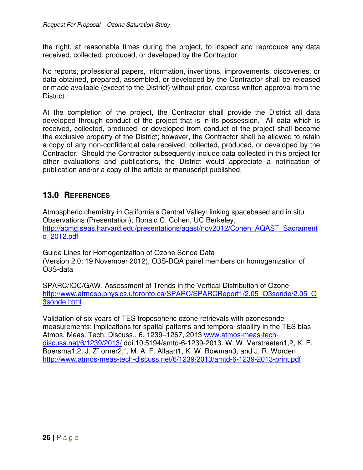the right, at reasonable times during the project, to inspect and reproduce any data received, collected, produced, or developed by the Contractor.

No reports, professional papers, information, inventions, improvements, discoveries, or data obtained, prepared, assembled, or developed by the Contractor shall be released or made available (except to the District) without prior, express written approval from the District.

At the completion of the project, the Contractor shall provide the District all data developed through conduct of the project that is in its possession. All data which is received, collected, produced, or developed from conduct of the project shall become the exclusive property of the District; however, the Contractor shall be allowed to retain a copy of any non-confidential data received, collected, produced, or developed by the Contractor. Should the Contractor subsequently include data collected in this project for other evaluations and publications, the District would appreciate a notification of publication and/or a copy of the article or manuscript published.

# **13.0 REFERENCES**

Atmospheric chemistry in California's Central Valley: linking spacebased and in situ Observations (Presentation), Ronald C. Cohen, UC Berkeley, http://acmg.seas.harvard.edu/presentations/aqast/nov2012/Cohen\_AQAST\_Sacrament o\_2012.pdf

Guide Lines for Homogenization of Ozone Sonde Data (Version 2.0: 19 November 2012), O3S-DQA panel members on homogenization of O3S-data

SPARC/IOC/GAW, Assessment of Trends in the Vertical Distribution of Ozone http://www.atmosp.physics.utoronto.ca/SPARC/SPARCReport1/2.05\_O3sonde/2.05\_O 3sonde.html

Validation of six years of TES tropospheric ozone retrievals with ozonesonde measurements: implications for spatial patterns and temporal stability in the TES bias Atmos. Meas. Tech. Discuss., 6, 1239–1267, 2013 www.atmos-meas-techdiscuss.net/6/1239/2013/ doi:10.5194/amtd-6-1239-2013. W. W. Verstraeten1,2, K. F. Boersma1,2, J. Z¨ orner2,\*, M. A. F. Allaart1, K. W. Bowman3, and J. R. Worden http://www.atmos-meas-tech-discuss.net/6/1239/2013/amtd-6-1239-2013-print.pdf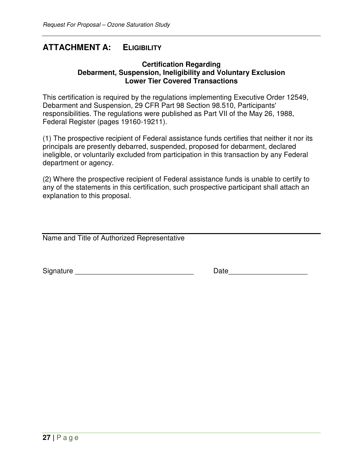## **ATTACHMENT A: ELIGIBILITY**

#### **Certification Regarding Debarment, Suspension, Ineligibility and Voluntary Exclusion Lower Tier Covered Transactions**

This certification is required by the regulations implementing Executive Order 12549, Debarment and Suspension, 29 CFR Part 98 Section 98.510, Participants' responsibilities. The regulations were published as Part VII of the May 26, 1988, Federal Register (pages 19160-19211).

(1) The prospective recipient of Federal assistance funds certifies that neither it nor its principals are presently debarred, suspended, proposed for debarment, declared ineligible, or voluntarily excluded from participation in this transaction by any Federal department or agency.

(2) Where the prospective recipient of Federal assistance funds is unable to certify to any of the statements in this certification, such prospective participant shall attach an explanation to this proposal.

Name and Title of Authorized Representative

Signature **Example 20** and the set of the set of the Date of the Signature  $\Box$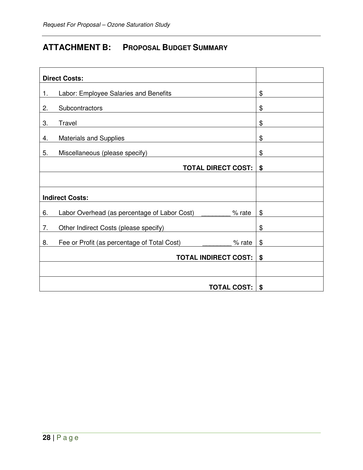# **ATTACHMENT B: PROPOSAL BUDGET SUMMARY**

| <b>Direct Costs:</b>                                                |    |
|---------------------------------------------------------------------|----|
| Labor: Employee Salaries and Benefits<br>1.                         | \$ |
| Subcontractors<br>2.                                                | \$ |
| Travel<br>3.                                                        | \$ |
| <b>Materials and Supplies</b><br>4.                                 | \$ |
| 5.<br>Miscellaneous (please specify)                                | \$ |
| <b>TOTAL DIRECT COST:</b>                                           | \$ |
|                                                                     |    |
| <b>Indirect Costs:</b>                                              |    |
| Labor Overhead (as percentage of Labor Cost) ______<br>6.<br>% rate | \$ |
| 7.<br>Other Indirect Costs (please specify)                         | \$ |
| 8.<br>Fee or Profit (as percentage of Total Cost)<br>% rate         | \$ |
| <b>TOTAL INDIRECT COST:</b>                                         | \$ |
|                                                                     |    |
| <b>TOTAL COST:</b>                                                  | \$ |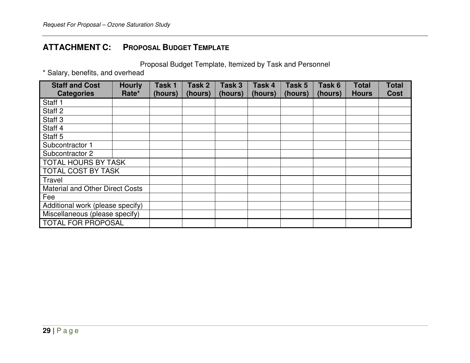# **ATTACHMENT C: PROPOSAL BUDGET TEMPLATE**

Proposal Budget Template, Itemized by Task and Personnel

\* Salary, benefits, and overhead

| <b>Staff and Cost</b><br><b>Categories</b> | <b>Hourly</b><br>Rate* | Task 1<br>(hours) | Task 2<br>(hours) | Task 3<br>(hours) | Task 4<br>(hours) | Task 5<br>(hours) | Task 6<br>(hours) | <b>Total</b><br><b>Hours</b> | <b>Total</b><br><b>Cost</b> |
|--------------------------------------------|------------------------|-------------------|-------------------|-------------------|-------------------|-------------------|-------------------|------------------------------|-----------------------------|
| Staff 1                                    |                        |                   |                   |                   |                   |                   |                   |                              |                             |
| Staff <sub>2</sub>                         |                        |                   |                   |                   |                   |                   |                   |                              |                             |
| Staff <sub>3</sub>                         |                        |                   |                   |                   |                   |                   |                   |                              |                             |
| Staff 4                                    |                        |                   |                   |                   |                   |                   |                   |                              |                             |
| Staff <sub>5</sub>                         |                        |                   |                   |                   |                   |                   |                   |                              |                             |
| Subcontractor 1                            |                        |                   |                   |                   |                   |                   |                   |                              |                             |
| Subcontractor 2                            |                        |                   |                   |                   |                   |                   |                   |                              |                             |
| <b>TOTAL HOURS BY TASK</b>                 |                        |                   |                   |                   |                   |                   |                   |                              |                             |
| <b>TOTAL COST BY TASK</b>                  |                        |                   |                   |                   |                   |                   |                   |                              |                             |
| Travel                                     |                        |                   |                   |                   |                   |                   |                   |                              |                             |
| <b>Material and Other Direct Costs</b>     |                        |                   |                   |                   |                   |                   |                   |                              |                             |
| Fee                                        |                        |                   |                   |                   |                   |                   |                   |                              |                             |
| Additional work (please specify)           |                        |                   |                   |                   |                   |                   |                   |                              |                             |
| Miscellaneous (please specify)             |                        |                   |                   |                   |                   |                   |                   |                              |                             |
| <b>TOTAL FOR PROPOSAL</b>                  |                        |                   |                   |                   |                   |                   |                   |                              |                             |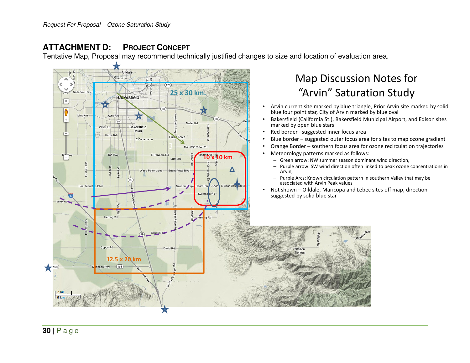#### **ATTACHMENTD: PROJECT CONCEPT**

Tentative Map, Proposal may recommend technically justified changes to size and location of evaluation area.